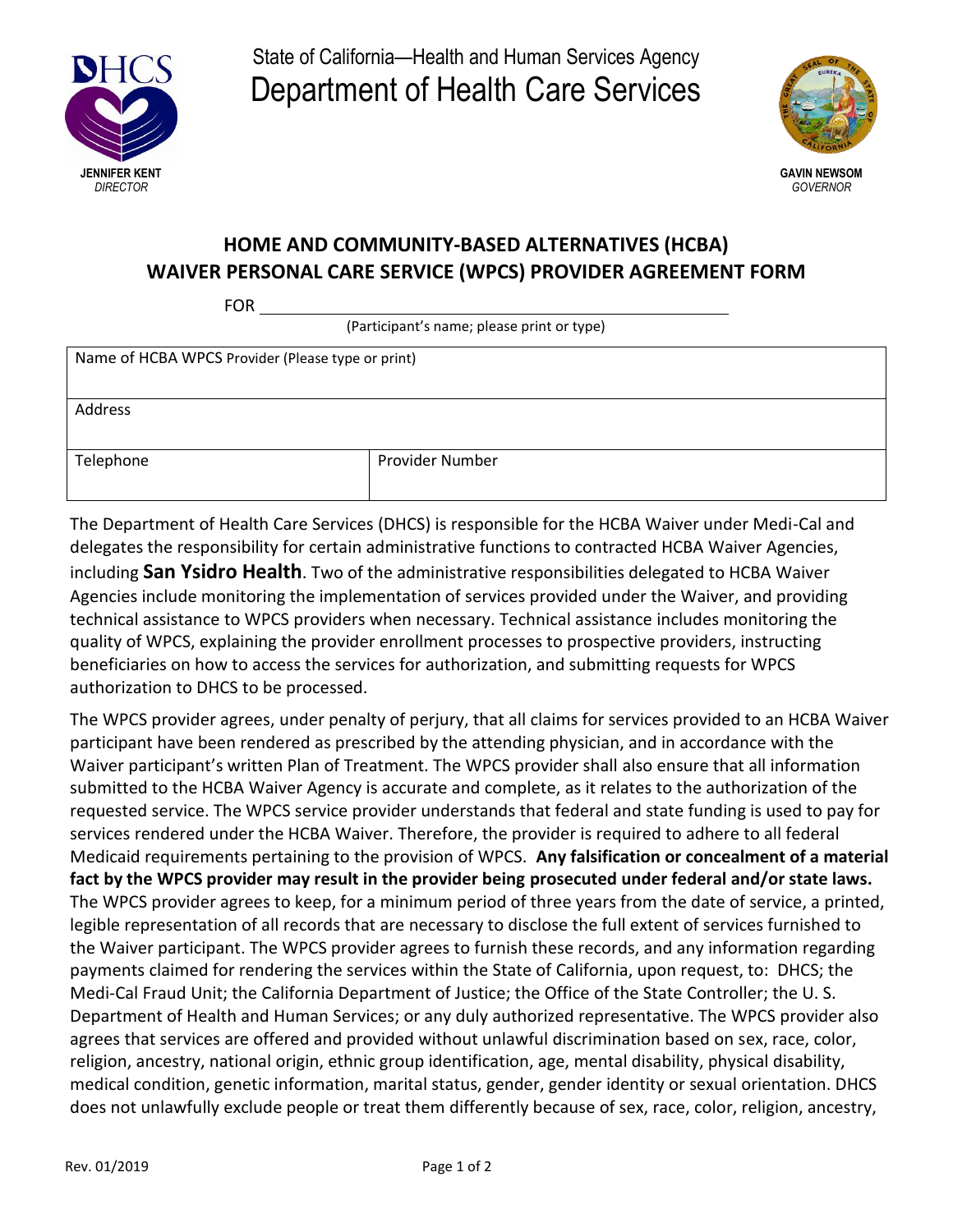

State of California—Health and Human Services Agency Department of Health Care Services



## **HOME AND COMMUNITY-BASED ALTERNATIVES (HCBA) WAIVER PERSONAL CARE SERVICE (WPCS) PROVIDER AGREEMENT FORM**

FOR

(Participant's name; please print or type)

| Name of HCBA WPCS Provider (Please type or print) |  |
|---------------------------------------------------|--|
|                                                   |  |
|                                                   |  |
|                                                   |  |
|                                                   |  |
|                                                   |  |
|                                                   |  |
|                                                   |  |
| <b>Provider Number</b>                            |  |
|                                                   |  |
|                                                   |  |
|                                                   |  |

The Department of Health Care Services (DHCS) is responsible for the HCBA Waiver under Medi-Cal and delegates the responsibility for certain administrative functions to contracted HCBA Waiver Agencies, including **San Ysidro Health**. Two of the administrative responsibilities delegated to HCBA Waiver Agencies include monitoring the implementation of services provided under the Waiver, and providing technical assistance to WPCS providers when necessary. Technical assistance includes monitoring the quality of WPCS, explaining the provider enrollment processes to prospective providers, instructing beneficiaries on how to access the services for authorization, and submitting requests for WPCS authorization to DHCS to be processed.

The WPCS provider agrees, under penalty of perjury, that all claims for services provided to an HCBA Waiver participant have been rendered as prescribed by the attending physician, and in accordance with the Waiver participant's written Plan of Treatment. The WPCS provider shall also ensure that all information submitted to the HCBA Waiver Agency is accurate and complete, as it relates to the authorization of the requested service. The WPCS service provider understands that federal and state funding is used to pay for services rendered under the HCBA Waiver. Therefore, the provider is required to adhere to all federal Medicaid requirements pertaining to the provision of WPCS. **Any falsification or concealment of a material fact by the WPCS provider may result in the provider being prosecuted under federal and/or state laws.** The WPCS provider agrees to keep, for a minimum period of three years from the date of service, a printed, legible representation of all records that are necessary to disclose the full extent of services furnished to the Waiver participant. The WPCS provider agrees to furnish these records, and any information regarding payments claimed for rendering the services within the State of California, upon request, to: DHCS; the Medi-Cal Fraud Unit; the California Department of Justice; the Office of the State Controller; the U. S. Department of Health and Human Services; or any duly authorized representative. The WPCS provider also agrees that services are offered and provided without unlawful discrimination based on sex, race, color, religion, ancestry, national origin, ethnic group identification, age, mental disability, physical disability, medical condition, genetic information, marital status, gender, gender identity or sexual orientation. DHCS does not unlawfully exclude people or treat them differently because of sex, race, color, religion, ancestry,